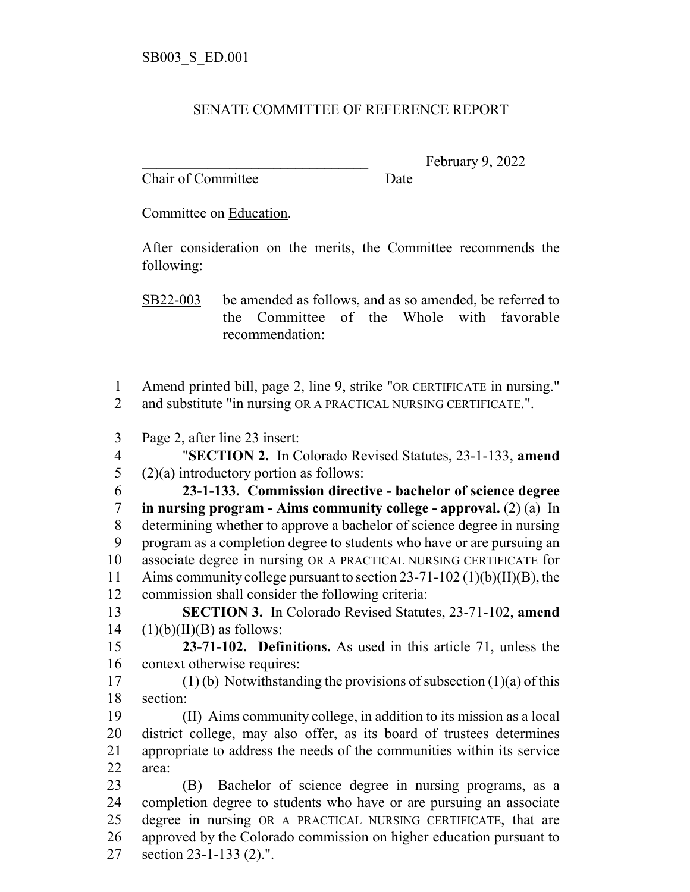## SENATE COMMITTEE OF REFERENCE REPORT

Chair of Committee Date

February 9, 2022

Committee on Education.

After consideration on the merits, the Committee recommends the following:

SB22-003 be amended as follows, and as so amended, be referred to the Committee of the Whole with favorable recommendation:

 Amend printed bill, page 2, line 9, strike "OR CERTIFICATE in nursing." and substitute "in nursing OR A PRACTICAL NURSING CERTIFICATE.".

Page 2, after line 23 insert:

 "**SECTION 2.** In Colorado Revised Statutes, 23-1-133, **amend** 5 (2)(a) introductory portion as follows:

 **23-1-133. Commission directive - bachelor of science degree in nursing program - Aims community college - approval.** (2) (a) In determining whether to approve a bachelor of science degree in nursing program as a completion degree to students who have or are pursuing an associate degree in nursing OR A PRACTICAL NURSING CERTIFICATE for Aims community college pursuant to section 23-71-102 (1)(b)(II)(B), the commission shall consider the following criteria:

 **SECTION 3.** In Colorado Revised Statutes, 23-71-102, **amend** 14  $(1)(b)(II)(B)$  as follows:

 **23-71-102. Definitions.** As used in this article 71, unless the context otherwise requires:

17 (1) (b) Notwithstanding the provisions of subsection  $(1)(a)$  of this section:

 (II) Aims community college, in addition to its mission as a local district college, may also offer, as its board of trustees determines appropriate to address the needs of the communities within its service area:

 (B) Bachelor of science degree in nursing programs, as a completion degree to students who have or are pursuing an associate degree in nursing OR A PRACTICAL NURSING CERTIFICATE, that are approved by the Colorado commission on higher education pursuant to section 23-1-133 (2).".